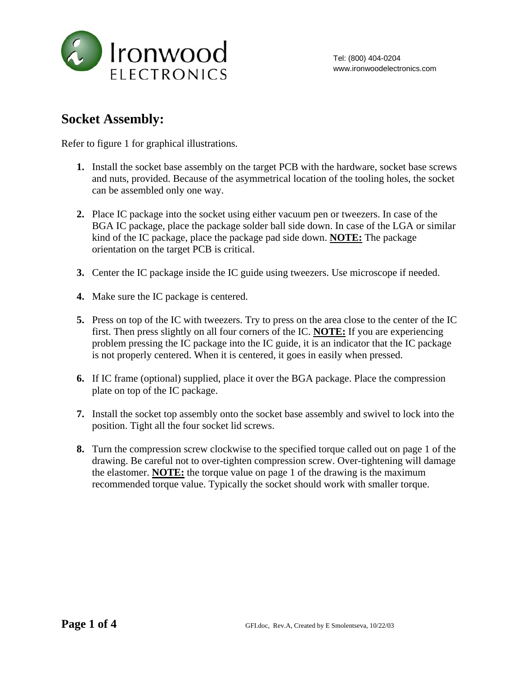

## **Socket Assembly:**

Refer to figure 1 for graphical illustrations.

- **1.** Install the socket base assembly on the target PCB with the hardware, socket base screws and nuts, provided. Because of the asymmetrical location of the tooling holes, the socket can be assembled only one way.
- **2.** Place IC package into the socket using either vacuum pen or tweezers. In case of the BGA IC package, place the package solder ball side down. In case of the LGA or similar kind of the IC package, place the package pad side down. **NOTE:** The package orientation on the target PCB is critical.
- **3.** Center the IC package inside the IC guide using tweezers. Use microscope if needed.
- **4.** Make sure the IC package is centered.
- **5.** Press on top of the IC with tweezers. Try to press on the area close to the center of the IC first. Then press slightly on all four corners of the IC. **NOTE:** If you are experiencing problem pressing the IC package into the IC guide, it is an indicator that the IC package is not properly centered. When it is centered, it goes in easily when pressed.
- **6.** If IC frame (optional) supplied, place it over the BGA package. Place the compression plate on top of the IC package.
- **7.** Install the socket top assembly onto the socket base assembly and swivel to lock into the position. Tight all the four socket lid screws.
- **8.** Turn the compression screw clockwise to the specified torque called out on page 1 of the drawing. Be careful not to over-tighten compression screw. Over-tightening will damage the elastomer. **NOTE:** the torque value on page 1 of the drawing is the maximum recommended torque value. Typically the socket should work with smaller torque.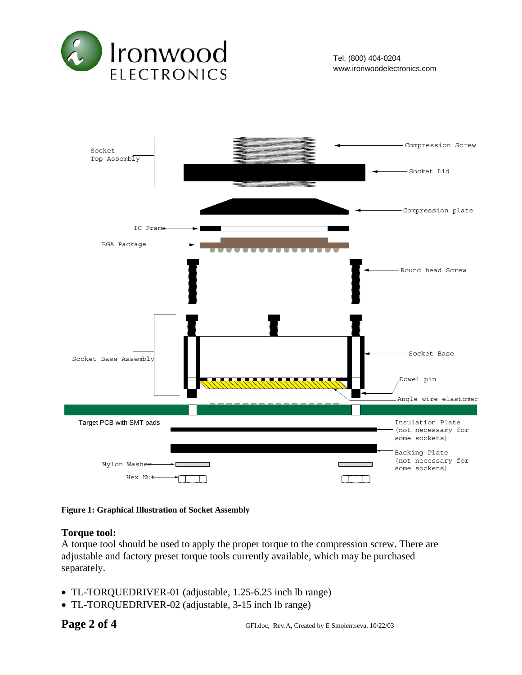



### **Figure 1: Graphical Illustration of Socket Assembly**

### **Torque tool:**

A torque tool should be used to apply the proper torque to the compression screw. There are adjustable and factory preset torque tools currently available, which may be purchased separately.

- TL-TORQUEDRIVER-01 (adjustable, 1.25-6.25 inch lb range)
- TL-TORQUEDRIVER-02 (adjustable, 3-15 inch lb range)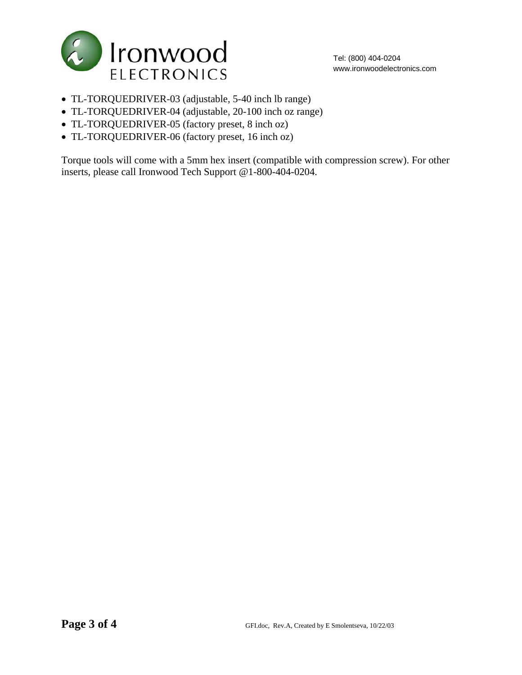

Tel: (800) 404-0204 www.ironwoodelectronics.com

- TL-TORQUEDRIVER-03 (adjustable, 5-40 inch lb range)
- TL-TORQUEDRIVER-04 (adjustable, 20-100 inch oz range)
- TL-TORQUEDRIVER-05 (factory preset, 8 inch oz)
- TL-TORQUEDRIVER-06 (factory preset, 16 inch oz)

Torque tools will come with a 5mm hex insert (compatible with compression screw). For other inserts, please call Ironwood Tech Support @1-800-404-0204.